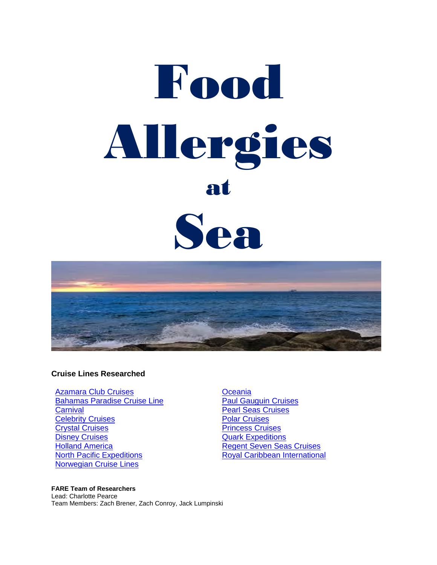# **Thood** Allergies at Sea



#### **Cruise Lines Researched**

[Azamara Club Cruises](#page-2-0) **Cancel Azamara** Club Cruises **[Oceania](#page-9-0) [Bahamas Paradise Cruise Line](#page-2-1) Cruises** [Paul Gauguin Cruises](#page-10-0) **[Carnival](#page-2-2) Carnival [Pearl Seas Cruises](#page-11-0)** <u>[Celebrity Cruises](#page-3-0)</u><br> [Polar Cruises](#page-11-1)<br>
Princess Cruises Erystal Cruises<br>
Disney Cruises<br>
Disney Cruises<br> [Princess Cruises](#page-12-0) **[Holland America](#page-6-0) [Regent Seven Seas Cruises](#page-13-0)** [North Pacific Expeditions](#page-7-0) **[Royal Caribbean International](#page-13-1)** [Norwegian Cruise Lines](#page-8-0)

**[Quark Expeditions](#page-12-1)** 

#### **FARE Team of Researchers**

Lead: Charlotte Pearce Team Members: Zach Brener, Zach Conroy, Jack Lumpinski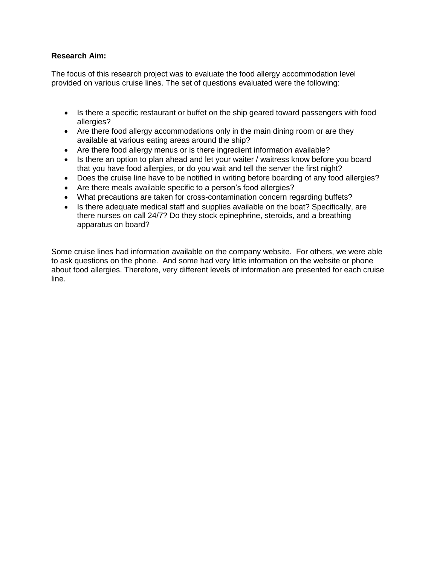#### **Research Aim:**

The focus of this research project was to evaluate the food allergy accommodation level provided on various cruise lines. The set of questions evaluated were the following:

- Is there a specific restaurant or buffet on the ship geared toward passengers with food allergies?
- Are there food allergy accommodations only in the main dining room or are they available at various eating areas around the ship?
- Are there food allergy menus or is there ingredient information available?
- Is there an option to plan ahead and let your waiter / waitress know before you board that you have food allergies, or do you wait and tell the server the first night?
- Does the cruise line have to be notified in writing before boarding of any food allergies?
- Are there meals available specific to a person's food allergies?
- What precautions are taken for cross-contamination concern regarding buffets?
- Is there adequate medical staff and supplies available on the boat? Specifically, are there nurses on call 24/7? Do they stock epinephrine, steroids, and a breathing apparatus on board?

Some cruise lines had information available on the company website. For others, we were able to ask questions on the phone. And some had very little information on the website or phone about food allergies. Therefore, very different levels of information are presented for each cruise line.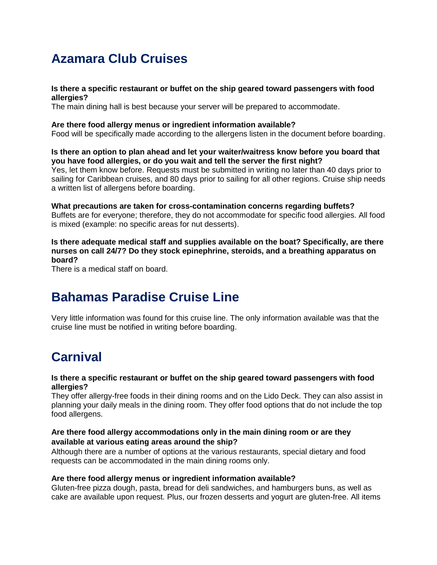# <span id="page-2-0"></span>**Azamara Club Cruises**

#### **Is there a specific restaurant or buffet on the ship geared toward passengers with food allergies?**

The main dining hall is best because your server will be prepared to accommodate.

#### **Are there food allergy menus or ingredient information available?**

Food will be specifically made according to the allergens listen in the document before boarding.

**Is there an option to plan ahead and let your waiter/waitress know before you board that you have food allergies, or do you wait and tell the server the first night?**

Yes, let them know before. Requests must be submitted in writing no later than 40 days prior to sailing for Caribbean cruises, and 80 days prior to sailing for all other regions. Cruise ship needs a written list of allergens before boarding.

**What precautions are taken for cross-contamination concerns regarding buffets?** Buffets are for everyone; therefore, they do not accommodate for specific food allergies. All food is mixed (example: no specific areas for nut desserts).

**Is there adequate medical staff and supplies available on the boat? Specifically, are there nurses on call 24/7? Do they stock epinephrine, steroids, and a breathing apparatus on board?**

There is a medical staff on board.

# <span id="page-2-1"></span>**Bahamas Paradise Cruise Line**

Very little information was found for this cruise line. The only information available was that the cruise line must be notified in writing before boarding.

# <span id="page-2-2"></span>**Carnival**

#### **Is there a specific restaurant or buffet on the ship geared toward passengers with food allergies?**

They offer allergy-free foods in their dining rooms and on the Lido Deck. They can also assist in planning your daily meals in the dining room. They offer food options that do not include the top food allergens.

#### **Are there food allergy accommodations only in the main dining room or are they available at various eating areas around the ship?**

Although there are a number of options at the various restaurants, special dietary and food requests can be accommodated in the main dining rooms only.

#### **Are there food allergy menus or ingredient information available?**

Gluten-free pizza dough, pasta, bread for deli sandwiches, and hamburgers buns, as well as cake are available upon request. Plus, our frozen desserts and yogurt are gluten-free. All items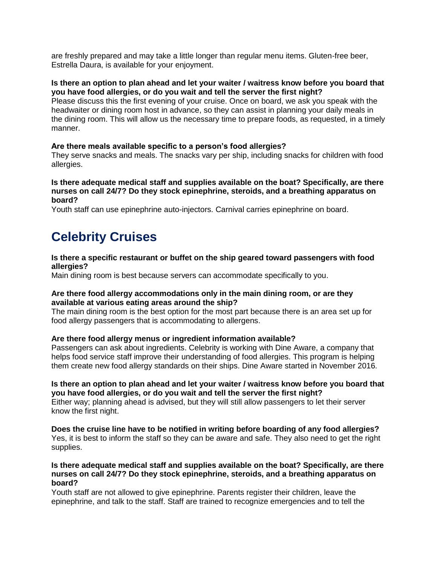are freshly prepared and may take a little longer than regular menu items. Gluten-free beer, Estrella Daura, is available for your enjoyment.

#### **Is there an option to plan ahead and let your waiter / waitress know before you board that you have food allergies, or do you wait and tell the server the first night?**

Please discuss this the first evening of your cruise. Once on board, we ask you speak with the headwaiter or dining room host in advance, so they can assist in planning your daily meals in the dining room. This will allow us the necessary time to prepare foods, as requested, in a timely manner.

#### **Are there meals available specific to a person's food allergies?**

They serve snacks and meals. The snacks vary per ship, including snacks for children with food allergies.

#### **Is there adequate medical staff and supplies available on the boat? Specifically, are there nurses on call 24/7? Do they stock epinephrine, steroids, and a breathing apparatus on board?**

Youth staff can use epinephrine auto-injectors. Carnival carries epinephrine on board.

# <span id="page-3-0"></span>**Celebrity Cruises**

#### **Is there a specific restaurant or buffet on the ship geared toward passengers with food allergies?**

Main dining room is best because servers can accommodate specifically to you.

#### **Are there food allergy accommodations only in the main dining room, or are they available at various eating areas around the ship?**

The main dining room is the best option for the most part because there is an area set up for food allergy passengers that is accommodating to allergens.

#### **Are there food allergy menus or ingredient information available?**

Passengers can ask about ingredients. Celebrity is working with Dine Aware, a company that helps food service staff improve their understanding of food allergies. This program is helping them create new food allergy standards on their ships. Dine Aware started in November 2016.

#### **Is there an option to plan ahead and let your waiter / waitress know before you board that you have food allergies, or do you wait and tell the server the first night?**

Either way; planning ahead is advised, but they will still allow passengers to let their server know the first night.

**Does the cruise line have to be notified in writing before boarding of any food allergies?** Yes, it is best to inform the staff so they can be aware and safe. They also need to get the right supplies.

#### **Is there adequate medical staff and supplies available on the boat? Specifically, are there nurses on call 24/7? Do they stock epinephrine, steroids, and a breathing apparatus on board?**

Youth staff are not allowed to give epinephrine. Parents register their children, leave the epinephrine, and talk to the staff. Staff are trained to recognize emergencies and to tell the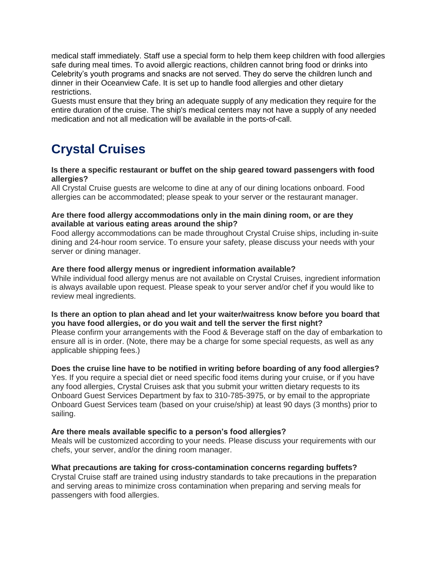medical staff immediately. Staff use a special form to help them keep children with food allergies safe during meal times. To avoid allergic reactions, children cannot bring food or drinks into Celebrity's youth programs and snacks are not served. They do serve the children lunch and dinner in their Oceanview Cafe. It is set up to handle food allergies and other dietary restrictions.

Guests must ensure that they bring an adequate supply of any medication they require for the entire duration of the cruise. The ship's medical centers may not have a supply of any needed medication and not all medication will be available in the ports-of-call.

# <span id="page-4-0"></span>**Crystal Cruises**

#### **Is there a specific restaurant or buffet on the ship geared toward passengers with food allergies?**

All Crystal Cruise guests are welcome to dine at any of our dining locations onboard. Food allergies can be accommodated; please speak to your server or the restaurant manager.

#### **Are there food allergy accommodations only in the main dining room, or are they available at various eating areas around the ship?**

Food allergy accommodations can be made throughout Crystal Cruise ships, including in-suite dining and 24-hour room service. To ensure your safety, please discuss your needs with your server or dining manager.

#### **Are there food allergy menus or ingredient information available?**

While individual food allergy menus are not available on Crystal Cruises, ingredient information is always available upon request. Please speak to your server and/or chef if you would like to review meal ingredients.

#### **Is there an option to plan ahead and let your waiter/waitress know before you board that you have food allergies, or do you wait and tell the server the first night?**

Please confirm your arrangements with the Food & Beverage staff on the day of embarkation to ensure all is in order. (Note, there may be a charge for some special requests, as well as any applicable shipping fees.)

#### **Does the cruise line have to be notified in writing before boarding of any food allergies?**

Yes. If you require a special diet or need specific food items during your cruise, or if you have any food allergies, Crystal Cruises ask that you submit your written dietary requests to its Onboard Guest Services Department by fax to 310-785-3975, or by email to the appropriate Onboard Guest Services team (based on your cruise/ship) at least 90 days (3 months) prior to sailing.

#### **Are there meals available specific to a person's food allergies?**

Meals will be customized according to your needs. Please discuss your requirements with our chefs, your server, and/or the dining room manager.

#### **What precautions are taking for cross-contamination concerns regarding buffets?**

Crystal Cruise staff are trained using industry standards to take precautions in the preparation and serving areas to minimize cross contamination when preparing and serving meals for passengers with food allergies.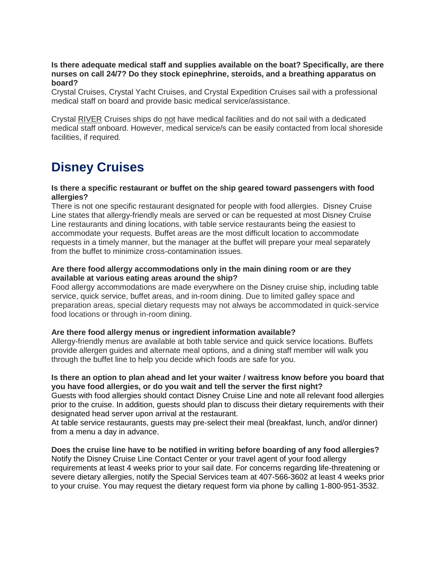#### **Is there adequate medical staff and supplies available on the boat? Specifically, are there nurses on call 24/7? Do they stock epinephrine, steroids, and a breathing apparatus on board?**

Crystal Cruises, Crystal Yacht Cruises, and Crystal Expedition Cruises sail with a professional medical staff on board and provide basic medical service/assistance.

Crystal RIVER Cruises ships do not have medical facilities and do not sail with a dedicated medical staff onboard. However, medical service/s can be easily contacted from local shoreside facilities, if required.

# <span id="page-5-0"></span>**Disney Cruises**

#### **Is there a specific restaurant or buffet on the ship geared toward passengers with food allergies?**

There is not one specific restaurant designated for people with food allergies. Disney Cruise Line states that allergy-friendly meals are served or can be requested at most Disney Cruise Line restaurants and dining locations, with table service restaurants being the easiest to accommodate your requests. Buffet areas are the most difficult location to accommodate requests in a timely manner, but the manager at the buffet will prepare your meal separately from the buffet to minimize cross-contamination issues.

#### **Are there food allergy accommodations only in the main dining room or are they available at various eating areas around the ship?**

Food allergy accommodations are made everywhere on the Disney cruise ship, including table service, quick service, buffet areas, and in-room dining. Due to limited galley space and preparation areas, special dietary requests may not always be accommodated in quick-service food locations or through in-room dining.

#### **Are there food allergy menus or ingredient information available?**

Allergy-friendly menus are available at both table service and quick service locations. Buffets provide allergen guides and alternate meal options, and a dining staff member will walk you through the buffet line to help you decide which foods are safe for you.

#### **Is there an option to plan ahead and let your waiter / waitress know before you board that you have food allergies, or do you wait and tell the server the first night?**

Guests with food allergies should contact Disney Cruise Line and note all relevant food allergies prior to the cruise. In addition, guests should plan to discuss their dietary requirements with their designated head server upon arrival at the restaurant.

At table service restaurants, guests may pre-select their meal (breakfast, lunch, and/or dinner) from a menu a day in advance.

#### **Does the cruise line have to be notified in writing before boarding of any food allergies?** Notify the Disney Cruise Line Contact Center or your travel agent of your food allergy requirements at least 4 weeks prior to your sail date. For concerns regarding life-threatening or severe dietary allergies, notify the Special Services team at 407-566-3602 at least 4 weeks prior to your cruise. You may request the dietary request form via phone by calling 1-800-951-3532.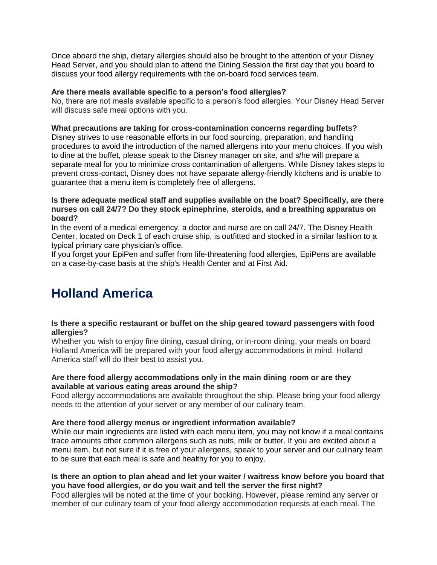Once aboard the ship, dietary allergies should also be brought to the attention of your Disney Head Server, and you should plan to attend the Dining Session the first day that you board to discuss your food allergy requirements with the on-board food services team.

#### **Are there meals available specific to a person's food allergies?**

No, there are not meals available specific to a person's food allergies. Your Disney Head Server will discuss safe meal options with you.

#### **What precautions are taking for cross-contamination concerns regarding buffets?**

Disney strives to use reasonable efforts in our food sourcing, preparation, and handling procedures to avoid the introduction of the named allergens into your menu choices. If you wish to dine at the buffet, please speak to the Disney manager on site, and s/he will prepare a separate meal for you to minimize cross contamination of allergens. While Disney takes steps to prevent cross-contact, Disney does not have separate allergy-friendly kitchens and is unable to guarantee that a menu item is completely free of allergens.

#### **Is there adequate medical staff and supplies available on the boat? Specifically, are there nurses on call 24/7? Do they stock epinephrine, steroids, and a breathing apparatus on board?**

In the event of a medical emergency, a doctor and nurse are on call 24/7. The Disney Health Center, located on Deck 1 of each cruise ship, is outfitted and stocked in a similar fashion to a typical primary care physician's office.

If you forget your EpiPen and suffer from life-threatening food allergies, EpiPens are available on a case-by-case basis at the ship's Health Center and at First Aid.

## <span id="page-6-0"></span>**Holland America**

#### **Is there a specific restaurant or buffet on the ship geared toward passengers with food allergies?**

Whether you wish to enjoy fine dining, casual dining, or in-room dining, your meals on board Holland America will be prepared with your food allergy accommodations in mind. Holland America staff will do their best to assist you.

#### **Are there food allergy accommodations only in the main dining room or are they available at various eating areas around the ship?**

Food allergy accommodations are available throughout the ship. Please bring your food allergy needs to the attention of your server or any member of our culinary team.

#### **Are there food allergy menus or ingredient information available?**

While our main ingredients are listed with each menu item, you may not know if a meal contains trace amounts other common allergens such as nuts, milk or butter. If you are excited about a menu item, but not sure if it is free of your allergens, speak to your server and our culinary team to be sure that each meal is safe and healthy for you to enjoy.

#### **Is there an option to plan ahead and let your waiter / waitress know before you board that you have food allergies, or do you wait and tell the server the first night?**

Food allergies will be noted at the time of your booking. However, please remind any server or member of our culinary team of your food allergy accommodation requests at each meal. The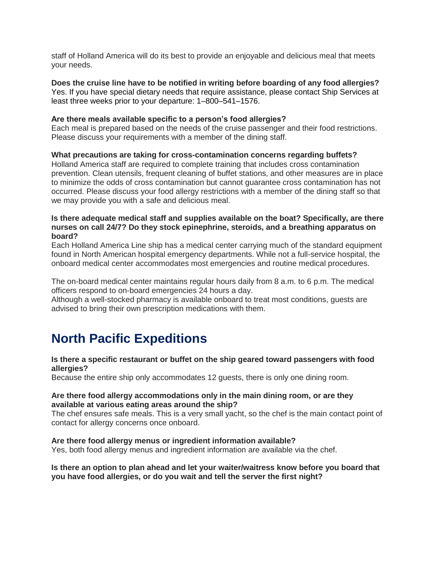staff of Holland America will do its best to provide an enjoyable and delicious meal that meets your needs.

**Does the cruise line have to be notified in writing before boarding of any food allergies?** Yes. If you have special dietary needs that require assistance, please contact Ship Services at least three weeks prior to your departure: 1–800–541–1576.

#### **Are there meals available specific to a person's food allergies?**

Each meal is prepared based on the needs of the cruise passenger and their food restrictions. Please discuss your requirements with a member of the dining staff.

#### **What precautions are taking for cross-contamination concerns regarding buffets?**

Holland America staff are required to complete training that includes cross contamination prevention. Clean utensils, frequent cleaning of buffet stations, and other measures are in place to minimize the odds of cross contamination but cannot guarantee cross contamination has not occurred. Please discuss your food allergy restrictions with a member of the dining staff so that we may provide you with a safe and delicious meal.

#### **Is there adequate medical staff and supplies available on the boat? Specifically, are there nurses on call 24/7? Do they stock epinephrine, steroids, and a breathing apparatus on board?**

Each Holland America Line ship has a medical center carrying much of the standard equipment found in North American hospital emergency departments. While not a full-service hospital, the onboard medical center accommodates most emergencies and routine medical procedures.

The on-board medical center maintains regular hours daily from 8 a.m. to 6 p.m. The medical officers respond to on-board emergencies 24 hours a day.

Although a well-stocked pharmacy is available onboard to treat most conditions, guests are advised to bring their own prescription medications with them.

## <span id="page-7-0"></span>**North Pacific Expeditions**

#### **Is there a specific restaurant or buffet on the ship geared toward passengers with food allergies?**

Because the entire ship only accommodates 12 guests, there is only one dining room.

#### **Are there food allergy accommodations only in the main dining room, or are they available at various eating areas around the ship?**

The chef ensures safe meals. This is a very small yacht, so the chef is the main contact point of contact for allergy concerns once onboard.

#### **Are there food allergy menus or ingredient information available?**

Yes, both food allergy menus and ingredient information are available via the chef.

#### **Is there an option to plan ahead and let your waiter/waitress know before you board that you have food allergies, or do you wait and tell the server the first night?**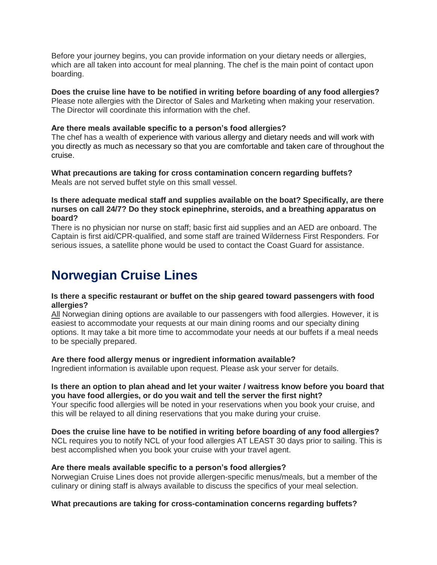Before your journey begins, you can provide information on your dietary needs or allergies, which are all taken into account for meal planning. The chef is the main point of contact upon boarding.

**Does the cruise line have to be notified in writing before boarding of any food allergies?** Please note allergies with the Director of Sales and Marketing when making your reservation. The Director will coordinate this information with the chef.

#### **Are there meals available specific to a person's food allergies?**

The chef has a wealth of experience with various allergy and dietary needs and will work with you directly as much as necessary so that you are comfortable and taken care of throughout the cruise.

**What precautions are taking for cross contamination concern regarding buffets?** Meals are not served buffet style on this small vessel.

#### **Is there adequate medical staff and supplies available on the boat? Specifically, are there nurses on call 24/7? Do they stock epinephrine, steroids, and a breathing apparatus on board?**

There is no physician nor nurse on staff; basic first aid supplies and an AED are onboard. The Captain is first aid/CPR-qualified, and some staff are trained Wilderness First Responders. For serious issues, a satellite phone would be used to contact the Coast Guard for assistance.

## <span id="page-8-0"></span>**Norwegian Cruise Lines**

#### **Is there a specific restaurant or buffet on the ship geared toward passengers with food allergies?**

All Norwegian dining options are available to our passengers with food allergies. However, it is easiest to accommodate your requests at our main dining rooms and our specialty dining options. It may take a bit more time to accommodate your needs at our buffets if a meal needs to be specially prepared.

#### **Are there food allergy menus or ingredient information available?**

Ingredient information is available upon request. Please ask your server for details.

#### **Is there an option to plan ahead and let your waiter / waitress know before you board that you have food allergies, or do you wait and tell the server the first night?**

Your specific food allergies will be noted in your reservations when you book your cruise, and this will be relayed to all dining reservations that you make during your cruise.

**Does the cruise line have to be notified in writing before boarding of any food allergies?** NCL requires you to notify NCL of your food allergies AT LEAST 30 days prior to sailing. This is best accomplished when you book your cruise with your travel agent.

#### **Are there meals available specific to a person's food allergies?**

Norwegian Cruise Lines does not provide allergen-specific menus/meals, but a member of the culinary or dining staff is always available to discuss the specifics of your meal selection.

#### **What precautions are taking for cross-contamination concerns regarding buffets?**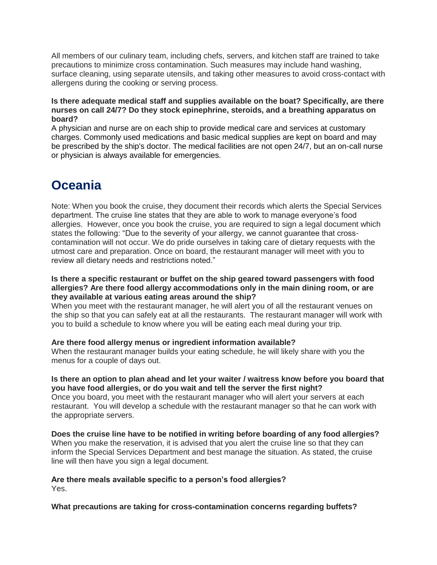All members of our culinary team, including chefs, servers, and kitchen staff are trained to take precautions to minimize cross contamination. Such measures may include hand washing, surface cleaning, using separate utensils, and taking other measures to avoid cross-contact with allergens during the cooking or serving process.

#### **Is there adequate medical staff and supplies available on the boat? Specifically, are there nurses on call 24/7? Do they stock epinephrine, steroids, and a breathing apparatus on board?**

A physician and nurse are on each ship to provide medical care and services at customary charges. Commonly used medications and basic medical supplies are kept on board and may be prescribed by the ship's doctor. The medical facilities are not open 24/7, but an on-call nurse or physician is always available for emergencies.

## <span id="page-9-0"></span>**Oceania**

Note: When you book the cruise, they document their records which alerts the Special Services department. The cruise line states that they are able to work to manage everyone's food allergies. However, once you book the cruise, you are required to sign a legal document which states the following: "Due to the severity of your allergy, we cannot guarantee that crosscontamination will not occur. We do pride ourselves in taking care of dietary requests with the utmost care and preparation. Once on board, the restaurant manager will meet with you to review all dietary needs and restrictions noted."

#### **Is there a specific restaurant or buffet on the ship geared toward passengers with food allergies? Are there food allergy accommodations only in the main dining room, or are they available at various eating areas around the ship?**

When you meet with the restaurant manager, he will alert you of all the restaurant venues on the ship so that you can safely eat at all the restaurants. The restaurant manager will work with you to build a schedule to know where you will be eating each meal during your trip.

#### **Are there food allergy menus or ingredient information available?**

When the restaurant manager builds your eating schedule, he will likely share with you the menus for a couple of days out.

#### **Is there an option to plan ahead and let your waiter / waitress know before you board that you have food allergies, or do you wait and tell the server the first night?**

Once you board, you meet with the restaurant manager who will alert your servers at each restaurant. You will develop a schedule with the restaurant manager so that he can work with the appropriate servers.

**Does the cruise line have to be notified in writing before boarding of any food allergies?** When you make the reservation, it is advised that you alert the cruise line so that they can inform the Special Services Department and best manage the situation. As stated, the cruise line will then have you sign a legal document.

**Are there meals available specific to a person's food allergies?** Yes.

**What precautions are taking for cross-contamination concerns regarding buffets?**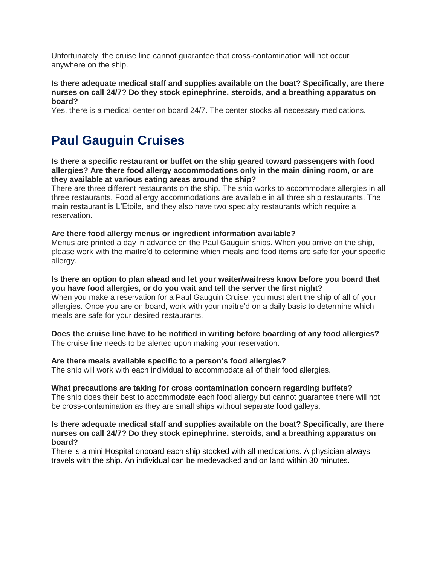Unfortunately, the cruise line cannot guarantee that cross-contamination will not occur anywhere on the ship.

#### **Is there adequate medical staff and supplies available on the boat? Specifically, are there nurses on call 24/7? Do they stock epinephrine, steroids, and a breathing apparatus on board?**

Yes, there is a medical center on board 24/7. The center stocks all necessary medications.

## <span id="page-10-0"></span>**Paul Gauguin Cruises**

#### **Is there a specific restaurant or buffet on the ship geared toward passengers with food allergies? Are there food allergy accommodations only in the main dining room, or are they available at various eating areas around the ship?**

There are three different restaurants on the ship. The ship works to accommodate allergies in all three restaurants. Food allergy accommodations are available in all three ship restaurants. The main restaurant is L'Etoile, and they also have two specialty restaurants which require a reservation.

#### **Are there food allergy menus or ingredient information available?**

Menus are printed a day in advance on the Paul Gauguin ships. When you arrive on the ship, please work with the maitre'd to determine which meals and food items are safe for your specific allergy.

#### **Is there an option to plan ahead and let your waiter/waitress know before you board that you have food allergies, or do you wait and tell the server the first night?**

When you make a reservation for a Paul Gauguin Cruise, you must alert the ship of all of your allergies. Once you are on board, work with your maitre'd on a daily basis to determine which meals are safe for your desired restaurants.

#### **Does the cruise line have to be notified in writing before boarding of any food allergies?**

The cruise line needs to be alerted upon making your reservation.

#### **Are there meals available specific to a person's food allergies?**

The ship will work with each individual to accommodate all of their food allergies.

#### **What precautions are taking for cross contamination concern regarding buffets?**

The ship does their best to accommodate each food allergy but cannot guarantee there will not be cross-contamination as they are small ships without separate food galleys.

#### **Is there adequate medical staff and supplies available on the boat? Specifically, are there nurses on call 24/7? Do they stock epinephrine, steroids, and a breathing apparatus on board?**

There is a mini Hospital onboard each ship stocked with all medications. A physician always travels with the ship. An individual can be medevacked and on land within 30 minutes.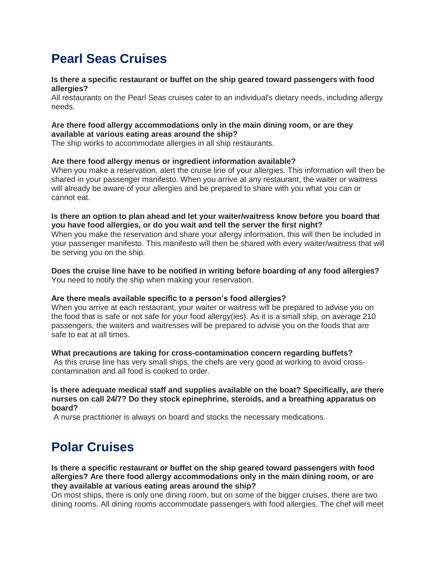# <span id="page-11-0"></span>**Pearl Seas Cruises**

#### **Is there a specific restaurant or buffet on the ship geared toward passengers with food allergies?**

All restaurants on the Pearl Seas cruises cater to an individual's dietary needs, including allergy needs.

#### **Are there food allergy accommodations only in the main dining room, or are they available at various eating areas around the ship?**

The ship works to accommodate allergies in all ship restaurants.

#### **Are there food allergy menus or ingredient information available?**

When you make a reservation, alert the cruise line of your allergies. This information will then be shared in your passenger manifesto. When you arrive at any restaurant, the waiter or waitress will already be aware of your allergies and be prepared to share with you what you can or cannot eat.

#### **Is there an option to plan ahead and let your waiter/waitress know before you board that you have food allergies, or do you wait and tell the server the first night?**

When you make the reservation and share your allergy information, this will then be included in your passenger manifesto. This manifesto will then be shared with every waiter/waitress that will be serving you on the ship.

#### **Does the cruise line have to be notified in writing before boarding of any food allergies?** You need to notify the ship when making your reservation.

#### **Are there meals available specific to a person's food allergies?**

When you arrive at each restaurant, your waiter or waitress will be prepared to advise you on the food that is safe or not safe for your food allergy(ies). As it is a small ship, on average 210 passengers, the waiters and waitresses will be prepared to advise you on the foods that are safe to eat at all times.

#### **What precautions are taking for cross-contamination concern regarding buffets?**

As this cruise line has very small ships, the chefs are very good at working to avoid crosscontamination and all food is cooked to order.

#### **Is there adequate medical staff and supplies available on the boat? Specifically, are there nurses on call 24/7? Do they stock epinephrine, steroids, and a breathing apparatus on board?**

A nurse practitioner is always on board and stocks the necessary medications.

# <span id="page-11-1"></span>**Polar Cruises**

**Is there a specific restaurant or buffet on the ship geared toward passengers with food allergies? Are there food allergy accommodations only in the main dining room, or are they available at various eating areas around the ship?**

On most ships, there is only one dining room, but on some of the bigger cruises, there are two dining rooms. All dining rooms accommodate passengers with food allergies. The chef will meet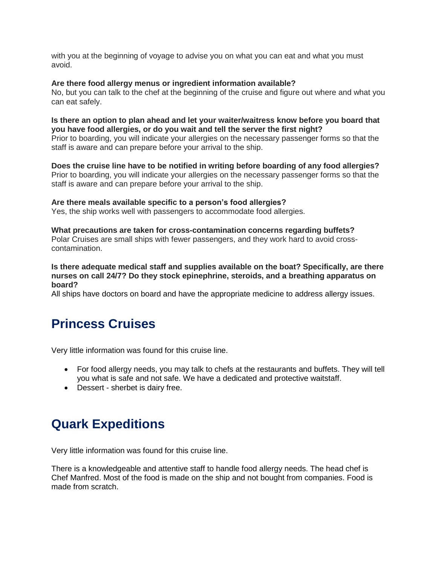with you at the beginning of voyage to advise you on what you can eat and what you must avoid.

#### **Are there food allergy menus or ingredient information available?**

No, but you can talk to the chef at the beginning of the cruise and figure out where and what you can eat safely.

#### **Is there an option to plan ahead and let your waiter/waitress know before you board that you have food allergies, or do you wait and tell the server the first night?**

Prior to boarding, you will indicate your allergies on the necessary passenger forms so that the staff is aware and can prepare before your arrival to the ship.

#### **Does the cruise line have to be notified in writing before boarding of any food allergies?**

Prior to boarding, you will indicate your allergies on the necessary passenger forms so that the staff is aware and can prepare before your arrival to the ship.

#### **Are there meals available specific to a person's food allergies?**

Yes, the ship works well with passengers to accommodate food allergies.

#### **What precautions are taken for cross-contamination concerns regarding buffets?**

Polar Cruises are small ships with fewer passengers, and they work hard to avoid crosscontamination.

#### **Is there adequate medical staff and supplies available on the boat? Specifically, are there nurses on call 24/7? Do they stock epinephrine, steroids, and a breathing apparatus on board?**

All ships have doctors on board and have the appropriate medicine to address allergy issues.

### <span id="page-12-0"></span>**Princess Cruises**

Very little information was found for this cruise line.

- For food allergy needs, you may talk to chefs at the restaurants and buffets. They will tell you what is safe and not safe. We have a dedicated and protective waitstaff.
- Dessert sherbet is dairy free.

# <span id="page-12-1"></span>**Quark Expeditions**

Very little information was found for this cruise line.

There is a knowledgeable and attentive staff to handle food allergy needs. The head chef is Chef Manfred. Most of the food is made on the ship and not bought from companies. Food is made from scratch.